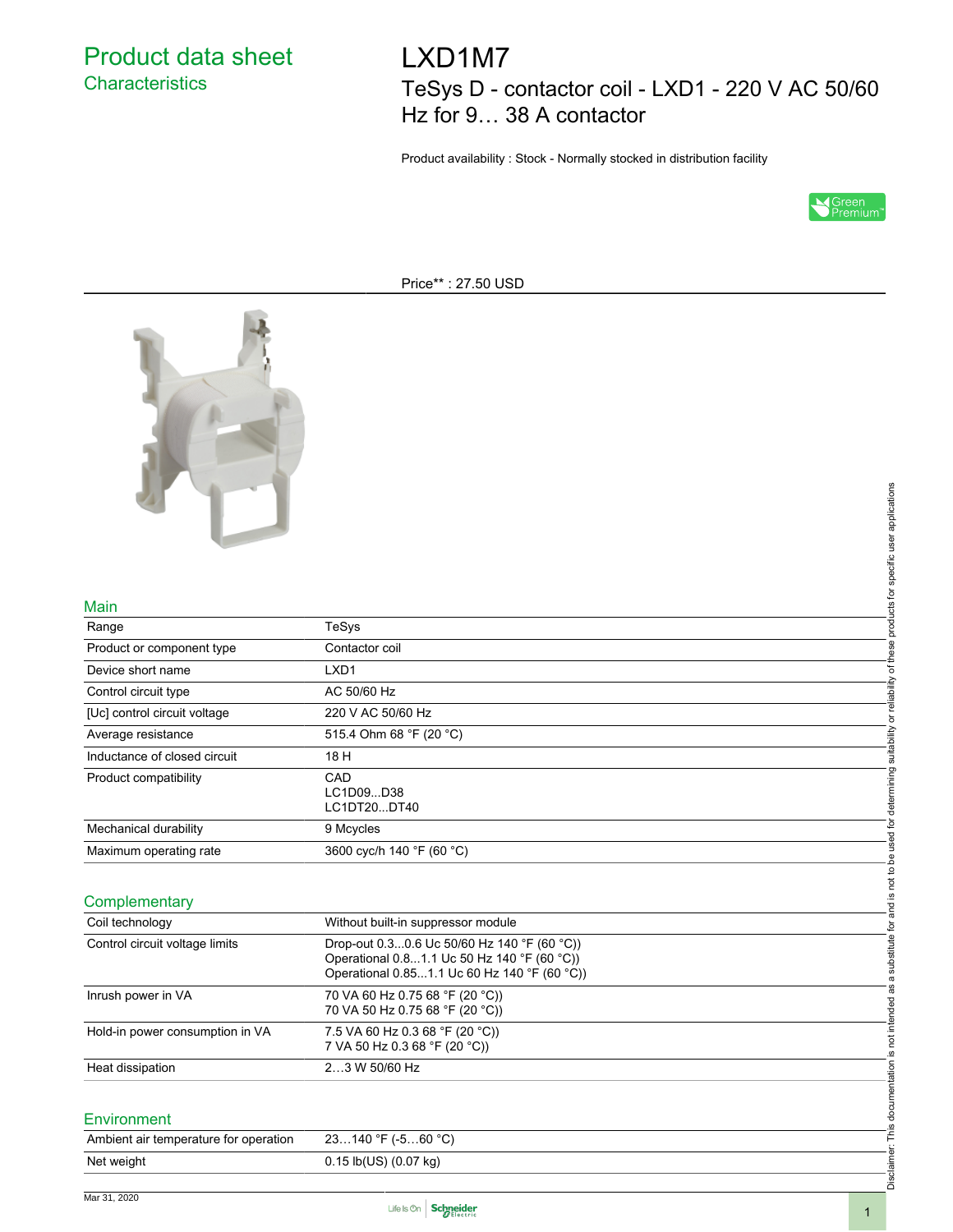Product data sheet **Characteristics** 

LXD1M7 TeSys D - contactor coil - LXD1 - 220 V AC 50/60 Hz for 9… 38 A contactor

Product availability : Stock - Normally stocked in distribution facility



Price\*\* : 27.50 USD



#### Main

|                                       |                                                                                                                                            | Disclaimer: This documentation is not intended as a substitute for and is not to be used for determining suitability or reliability of these products for specific user applications |
|---------------------------------------|--------------------------------------------------------------------------------------------------------------------------------------------|--------------------------------------------------------------------------------------------------------------------------------------------------------------------------------------|
|                                       |                                                                                                                                            |                                                                                                                                                                                      |
| Main                                  |                                                                                                                                            |                                                                                                                                                                                      |
| Range                                 | TeSys                                                                                                                                      |                                                                                                                                                                                      |
| Product or component type             | Contactor coil                                                                                                                             |                                                                                                                                                                                      |
| Device short name                     | LXD <sub>1</sub>                                                                                                                           |                                                                                                                                                                                      |
| Control circuit type                  | AC 50/60 Hz                                                                                                                                |                                                                                                                                                                                      |
| [Uc] control circuit voltage          | 220 V AC 50/60 Hz                                                                                                                          |                                                                                                                                                                                      |
| Average resistance                    | 515.4 Ohm 68 °F (20 °C)                                                                                                                    |                                                                                                                                                                                      |
| Inductance of closed circuit          | 18 H                                                                                                                                       |                                                                                                                                                                                      |
| Product compatibility                 | CAD<br>LC1D09D38<br>LC1DT20DT40                                                                                                            |                                                                                                                                                                                      |
| Mechanical durability                 | 9 Mcycles                                                                                                                                  |                                                                                                                                                                                      |
| Maximum operating rate                | 3600 cyc/h 140 °F (60 °C)                                                                                                                  |                                                                                                                                                                                      |
|                                       |                                                                                                                                            |                                                                                                                                                                                      |
| Complementary                         |                                                                                                                                            |                                                                                                                                                                                      |
| Coil technology                       | Without built-in suppressor module                                                                                                         |                                                                                                                                                                                      |
| Control circuit voltage limits        | Drop-out 0.30.6 Uc 50/60 Hz 140 °F (60 °C))<br>Operational 0.81.1 Uc 50 Hz 140 °F (60 °C))<br>Operational 0.851.1 Uc 60 Hz 140 °F (60 °C)) |                                                                                                                                                                                      |
| Inrush power in VA                    | 70 VA 60 Hz 0.75 68 °F (20 °C))<br>70 VA 50 Hz 0.75 68 °F (20 °C))                                                                         |                                                                                                                                                                                      |
| Hold-in power consumption in VA       | 7.5 VA 60 Hz 0.3 68 °F (20 °C))<br>7 VA 50 Hz 0.3 68 °F (20 °C))                                                                           |                                                                                                                                                                                      |
| Heat dissipation                      | 23 W 50/60 Hz                                                                                                                              |                                                                                                                                                                                      |
|                                       |                                                                                                                                            |                                                                                                                                                                                      |
| Environment                           |                                                                                                                                            |                                                                                                                                                                                      |
| Ambient air temperature for operation | 23140 °F (-560 °C)                                                                                                                         |                                                                                                                                                                                      |
| Net weight                            | 0.15 lb(US) (0.07 kg)                                                                                                                      |                                                                                                                                                                                      |

### **Complementary**

| Coil technology                 | Without built-in suppressor module                                                                                                           |
|---------------------------------|----------------------------------------------------------------------------------------------------------------------------------------------|
| Control circuit voltage limits  | Drop-out $0.30.6$ Uc 50/60 Hz 140 °F (60 °C))<br>Operational 0.81.1 Uc 50 Hz 140 °F (60 °C))<br>Operational 0.851.1 Uc 60 Hz 140 °F (60 °C)) |
| Inrush power in VA              | 70 VA 60 Hz 0.75 68 °F (20 °C))<br>70 VA 50 Hz 0.75 68 °F (20 °C))                                                                           |
| Hold-in power consumption in VA | 7.5 VA 60 Hz 0.3 68 °F (20 °C))<br>7 VA 50 Hz 0.3 68 °F (20 °C))                                                                             |
| Heat dissipation                | $23$ W 50/60 Hz                                                                                                                              |

#### Environment

| Ambient air temperature for operation | $23140$ °F (-560 °C)      |
|---------------------------------------|---------------------------|
| Net weight                            | $0.15$ lb(US) $(0.07$ kg) |